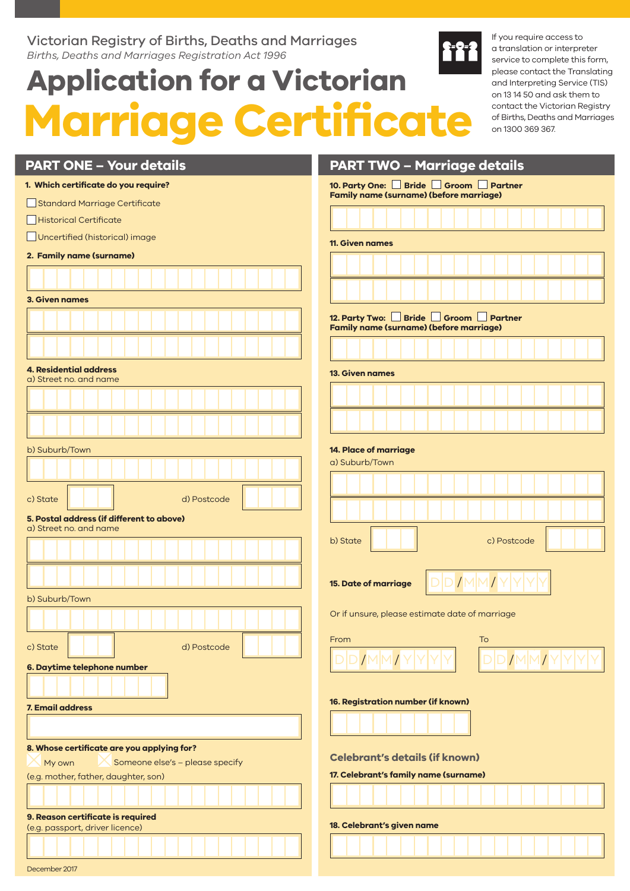#### Victorian Registry of Births, Deaths and Marriages *Births, Deaths and Marriages Registration Act 1996*

# **Application for a Victorian Marriage Certificate**

If you require access to a translation or interpreter service to complete this form, please contact the Translating and Interpreting Service (TIS) on 13 14 50 and ask them to contact the Victorian Registry of Births, Deaths and Marriages on 1300 369 367.

| <b>PART ONE - Your details</b><br><b>PART TWO - Marriage details</b>                |                                                                                                          |  |  |
|-------------------------------------------------------------------------------------|----------------------------------------------------------------------------------------------------------|--|--|
| 1. Which certificate do you require?                                                | 10. Party One: Bride Groom Partner<br><b>Family name (surname) (before marriage)</b>                     |  |  |
| Standard Marriage Certificate                                                       |                                                                                                          |  |  |
| Historical Certificate                                                              |                                                                                                          |  |  |
| Uncertified (historical) image                                                      | <b>11. Given names</b>                                                                                   |  |  |
| 2. Family name (surname)                                                            |                                                                                                          |  |  |
|                                                                                     |                                                                                                          |  |  |
| <b>3. Given names</b>                                                               |                                                                                                          |  |  |
|                                                                                     | 12. Party Two: Bride Groom Partner<br><b>Family name (surname) (before marriage)</b>                     |  |  |
|                                                                                     |                                                                                                          |  |  |
| <b>4. Residential address</b><br><b>13. Given names</b><br>a) Street no, and name   |                                                                                                          |  |  |
|                                                                                     |                                                                                                          |  |  |
|                                                                                     |                                                                                                          |  |  |
| 14. Place of marriage<br>b) Suburb/Town                                             |                                                                                                          |  |  |
|                                                                                     | a) Suburb/Town                                                                                           |  |  |
|                                                                                     |                                                                                                          |  |  |
| c) State<br>d) Postcode                                                             |                                                                                                          |  |  |
| 5. Postal address (if different to above)                                           |                                                                                                          |  |  |
| a) Street no, and name                                                              | b) State<br>c) Postcode                                                                                  |  |  |
|                                                                                     |                                                                                                          |  |  |
|                                                                                     | IMM<br><b>15. Date of marriage</b>                                                                       |  |  |
| b) Suburb/Town                                                                      |                                                                                                          |  |  |
|                                                                                     | Or if unsure, please estimate date of marriage                                                           |  |  |
| c) State<br>d) Postcode                                                             | To<br>From                                                                                               |  |  |
|                                                                                     | $\big \mathsf{D}\big \mathsf{D}\big/\mathsf{M}\big \mathsf{M}\big/\mathsf{Y}\big \mathsf{Y}$<br>DID/MM/Y |  |  |
| 6. Daytime telephone number                                                         |                                                                                                          |  |  |
|                                                                                     |                                                                                                          |  |  |
| 16. Registration number (if known)<br><b>7. Email address</b>                       |                                                                                                          |  |  |
|                                                                                     |                                                                                                          |  |  |
| 8. Whose certificate are you applying for?<br><b>Celebrant's details (if known)</b> |                                                                                                          |  |  |
| Someone else's - please specify<br>My own<br>(e.g. mother, father, daughter, son)   | 17. Celebrant's family name (surname)                                                                    |  |  |
|                                                                                     |                                                                                                          |  |  |
| 9. Reason certificate is required                                                   |                                                                                                          |  |  |
| (e.g. passport, driver licence)                                                     | 18. Celebrant's given name                                                                               |  |  |
|                                                                                     |                                                                                                          |  |  |
| December 2017                                                                       |                                                                                                          |  |  |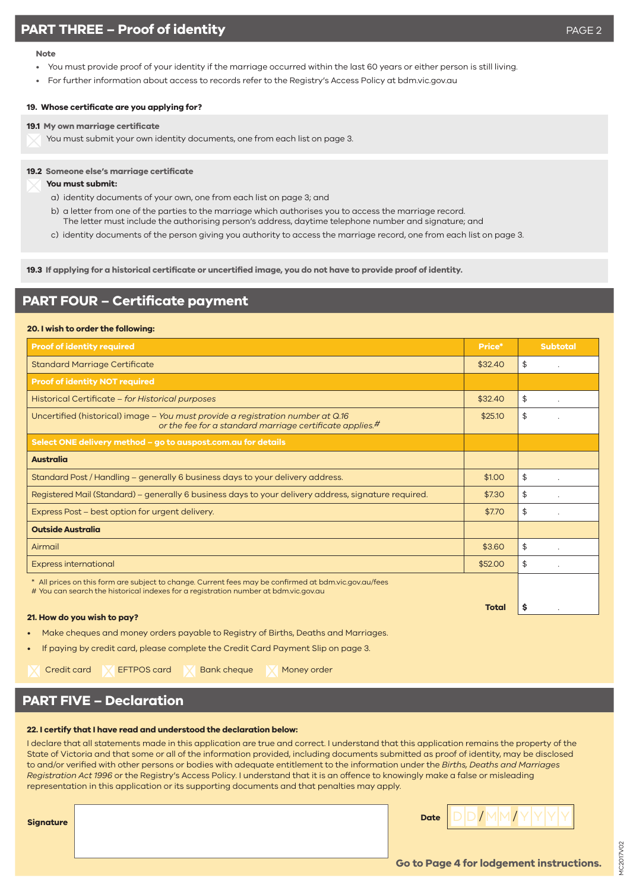#### **Note**

- You must provide proof of your identity if the marriage occurred within the last 60 years or either person is still living.
- For further information about access to records refer to the Registry's Access Policy at bdm.vic.gov.au

#### **19. Whose certificate are you applying for?**

**19.1 My own marriage certificate** 

You must submit your own identity documents, one from each list on page 3.

#### **19.2 Someone else's marriage certificate**

#### **You must submit:**

- a) identity documents of your own, one from each list on page 3; and
- b) a letter from one of the parties to the marriage which authorises you to access the marriage record. The letter must include the authorising person's address, daytime telephone number and signature; and
- c) identity documents of the person giving you authority to access the marriage record, one from each list on page 3.

**19.3 If applying for a historical certificate or uncertified image, you do not have to provide proof of identity.** 

#### **PART FOUR – Certificate payment**

#### **20. I wish to order the following:**

| <b>Proof of identity required</b>                                                                                                                                                            | Price*       | <b>Subtotal</b> |
|----------------------------------------------------------------------------------------------------------------------------------------------------------------------------------------------|--------------|-----------------|
| <b>Standard Marriage Certificate</b>                                                                                                                                                         | \$32.40      | \$              |
| <b>Proof of identity NOT required</b>                                                                                                                                                        |              |                 |
| Historical Certificate - for Historical purposes                                                                                                                                             | \$32.40      | \$              |
| Uncertified (historical) image - You must provide a registration number at Q.16<br>or the fee for a standard marriage certificate applies. <sup>#</sup>                                      | \$25.10      | \$              |
| Select ONE delivery method – go to auspost.com.au for details                                                                                                                                |              |                 |
| <b>Australia</b>                                                                                                                                                                             |              |                 |
| Standard Post / Handling – generally 6 business days to your delivery address.                                                                                                               | \$1.00       | \$              |
| Registered Mail (Standard) – generally 6 business days to your delivery address, signature required.                                                                                         | \$7.30       | \$              |
| Express Post – best option for urgent delivery.                                                                                                                                              | \$7.70       | \$              |
| <b>Outside Australia</b>                                                                                                                                                                     |              |                 |
| Airmail                                                                                                                                                                                      | \$3.60       | \$              |
| <b>Express international</b>                                                                                                                                                                 | \$52.00      | \$              |
| * All prices on this form are subject to change. Current fees may be confirmed at bdm.vic.gov.au/fees<br># You can search the historical indexes for a registration number at bdm.vic.gov.au |              |                 |
| 21. How do you wish to pay?                                                                                                                                                                  | <b>Total</b> | s               |

- Make cheques and money orders payable to Registry of Births, Deaths and Marriages.
- If paying by credit card, please complete the Credit Card Payment Slip on page 3.

Credit card **EFTPOS card A** Bank cheque **M** Money order

## **PART FIVE – Declaration**

#### **22. I certify that I have read and understood the declaration below:**

I declare that all statements made in this application are true and correct. I understand that this application remains the property of the State of Victoria and that some or all of the information provided, including documents submitted as proof of identity, may be disclosed to and/or verified with other persons or bodies with adequate entitlement to the information under the *Births, Deaths and Marriages Registration Act 1996* or the Registry's Access Policy. I understand that it is an offence to knowingly make a false or misleading representation in this application or its supporting documents and that penalties may apply.

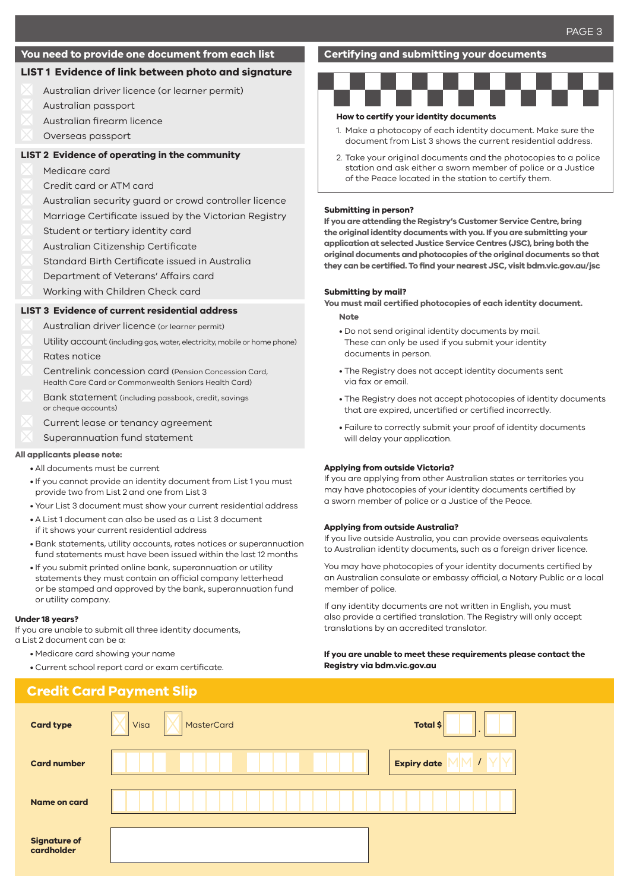#### **You need to provide one document from each list**

#### **LIST 1 Evidence of link between photo and signature**

- Australian driver licence (or learner permit)
- Australian passport
- Australian firearm licence
- Overseas passport

#### **LIST 2 Evidence of operating in the community**

- Medicare card
- Credit card or ATM card
- Australian security guard or crowd controller licence
- Marriage Certificate issued by the Victorian Registry
- Student or tertiary identity card
- Australian Citizenship Certificate
- Standard Birth Certificate issued in Australia
- Department of Veterans' Affairs card
- Working with Children Check card

#### **LIST 3 Evidence of current residential address**

- Australian driver licence (or learner permit)
- Utility account (including gas, water, electricity, mobile or home phone)
- Rates notice
- Centrelink concession card (Pension Concession Card, Health Care Card or Commonwealth Seniors Health Card)
- Bank statement (including passbook, credit, savings or cheque accounts)
- Current lease or tenancy agreement
- Superannuation fund statement

#### **All applicants please note:**

- All documents must be current
- If you cannot provide an identity document from List 1 you must provide two from List 2 and one from List 3
- Your List 3 document must show your current residential address
- A List 1 document can also be used as a List 3 document if it shows your current residential address
- Bank statements, utility accounts, rates notices or superannuation fund statements must have been issued within the last 12 months
- If you submit printed online bank, superannuation or utility statements they must contain an official company letterhead or be stamped and approved by the bank, superannuation fund or utility company.

#### **Under 18 years?**

If you are unable to submit all three identity documents, a List 2 document can be a:

- Medicare card showing your name
- Current school report card or exam certificate.

#### **Certifying and submitting your documents**



#### **How to certify your identity documents**

- 1. Make a photocopy of each identity document. Make sure the document from List 3 shows the current residential address.
- 2. Take your original documents and the photocopies to a police station and ask either a sworn member of police or a Justice of the Peace located in the station to certify them.

#### **Submitting in person?**

**If you are attending the Registry's Customer Service Centre, bring the original identity documents with you. If you are submitting your application at selected Justice Service Centres (JSC), bring both the original documents and photocopies of the original documents so that they can be certified. To find your nearest JSC, visit bdm.vic.gov.au/jsc**

#### **Submitting by mail?**

**You must mail certified photocopies of each identity document. Note**

- Do not send original identity documents by mail. These can only be used if you submit your identity documents in person.
- The Registry does not accept identity documents sent via fax or email.
- The Registry does not accept photocopies of identity documents that are expired, uncertified or certified incorrectly.
- Failure to correctly submit your proof of identity documents will delay your application.

#### **Applying from outside Victoria?**

If you are applying from other Australian states or territories you may have photocopies of your identity documents certified by a sworn member of police or a Justice of the Peace.

#### **Applying from outside Australia?**

If you live outside Australia, you can provide overseas equivalents to Australian identity documents, such as a foreign driver licence.

You may have photocopies of your identity documents certified by an Australian consulate or embassy official, a Notary Public or a local member of police.

If any identity documents are not written in English, you must also provide a certified translation. The Registry will only accept translations by an accredited translator.

#### **If you are unable to meet these requirements please contact the Registry via bdm.vic.gov.au**

|                                   | <b>Credit Card Payment Slip</b> |                    |
|-----------------------------------|---------------------------------|--------------------|
| <b>Card type</b>                  | MasterCard<br>Visa              | Total \$           |
| <b>Card number</b>                |                                 | <b>Expiry date</b> |
| Name on card                      |                                 |                    |
| <b>Signature of</b><br>cardholder |                                 |                    |
|                                   |                                 |                    |